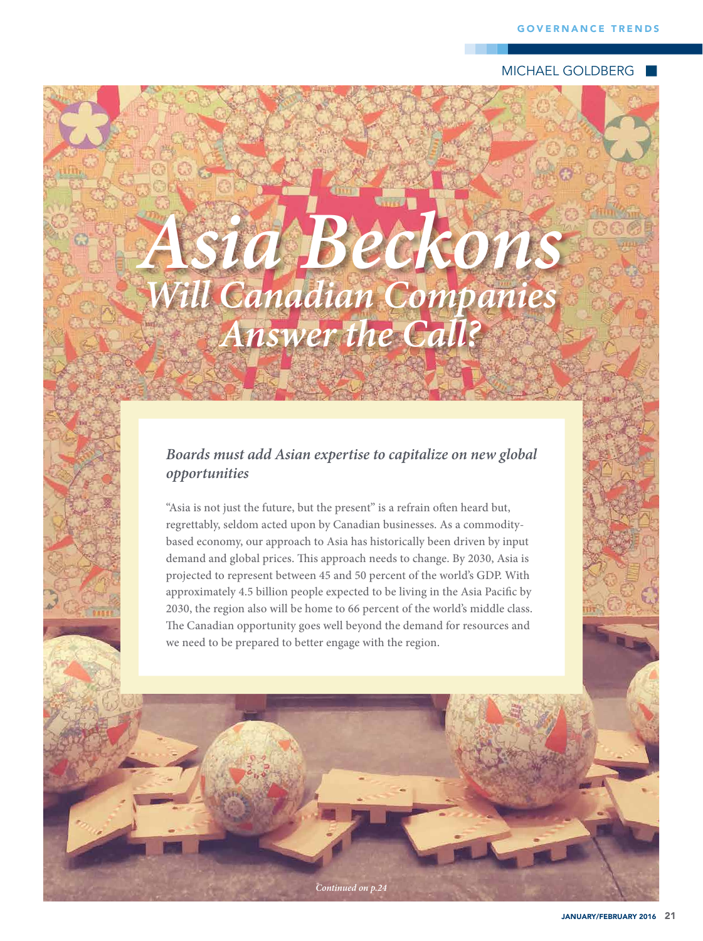**MICHAEL GOLDBERG** 

## Asia Beckons **Will Canadian Companies<br>Answer the Call?**

## Boards must add Asian expertise to capitalize on new global opportunities

"Asia is not just the future, but the present" is a refrain often heard but, regrettably, seldom acted upon by Canadian businesses. As a commoditybased economy, our approach to Asia has historically been driven by input demand and global prices. This approach needs to change. By 2030, Asia is projected to represent between 45 and 50 percent of the world's GDP. With approximately 4.5 billion people expected to be living in the Asia Pacific by 2030, the region also will be home to 66 percent of the world's middle class. The Canadian opportunity goes well beyond the demand for resources and we need to be prepared to better engage with the region.

Continued on p.24

JANUARY/FEBRUARY 2016 21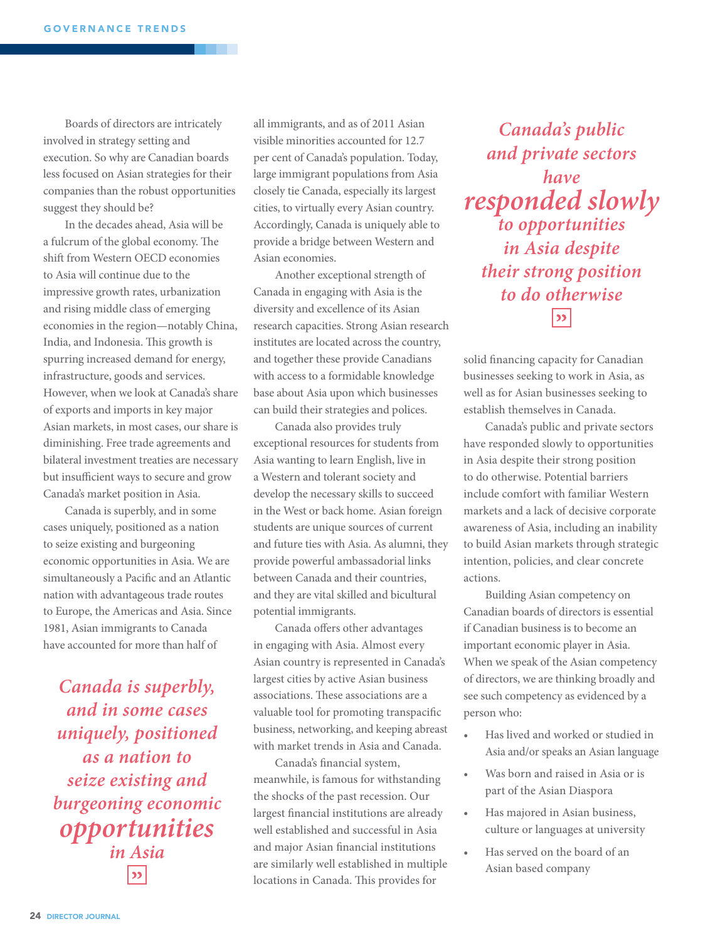Boards of directors are intricately involved in strategy setting and execution. So why are Canadian boards less focused on Asian strategies for their companies than the robust opportunities suggest they should be?

In the decades ahead, Asia will be a fulcrum of the global economy. The shift from Western OECD economies to Asia will continue due to the impressive growth rates, urbanization and rising middle class of emerging economies in the region—notably China, India, and Indonesia. This growth is spurring increased demand for energy, infrastructure, goods and services. However, when we look at Canada's share of exports and imports in key major Asian markets, in most cases, our share is diminishing. Free trade agreements and bilateral investment treaties are necessary but insufficient ways to secure and grow Canada's market position in Asia.

Canada is superbly, and in some cases uniquely, positioned as a nation to seize existing and burgeoning economic opportunities in Asia. We are simultaneously a Pacifc and an Atlantic nation with advantageous trade routes to Europe, the Americas and Asia. Since 1981, Asian immigrants to Canada have accounted for more than half of

**Canada is superbly, and in some cases uniquely, positioned as a nation to seize existing and burgeoning economic opportunities in Asia**  $\overline{\mathbf{v}}$ 

all immigrants, and as of 2011 Asian visible minorities accounted for 12.7 per cent of Canada's population. Today, large immigrant populations from Asia closely tie Canada, especially its largest cities, to virtually every Asian country. Accordingly, Canada is uniquely able to provide a bridge between Western and Asian economies.

Another exceptional strength of Canada in engaging with Asia is the diversity and excellence of its Asian research capacities. Strong Asian research institutes are located across the country, and together these provide Canadians with access to a formidable knowledge base about Asia upon which businesses can build their strategies and polices.

Canada also provides truly exceptional resources for students from Asia wanting to learn English, live in a Western and tolerant society and develop the necessary skills to succeed in the West or back home. Asian foreign students are unique sources of current and future ties with Asia. As alumni, they provide powerful ambassadorial links between Canada and their countries, and they are vital skilled and bicultural potential immigrants.

Canada offers other advantages in engaging with Asia. Almost every Asian country is represented in Canada's largest cities by active Asian business associations. These associations are a valuable tool for promoting transpacifc business, networking, and keeping abreast with market trends in Asia and Canada.

Canada's fnancial system, meanwhile, is famous for withstanding the shocks of the past recession. Our largest fnancial institutions are already well established and successful in Asia and major Asian fnancial institutions are similarly well established in multiple locations in Canada. This provides for

**Canada's public and private sectors have responded slowly to opportunities in Asia despite their strong position to do otherwise** $\overline{\mathbf{z}}$ 

solid fnancing capacity for Canadian businesses seeking to work in Asia, as well as for Asian businesses seeking to establish themselves in Canada.

Canada's public and private sectors have responded slowly to opportunities in Asia despite their strong position to do otherwise. Potential barriers include comfort with familiar Western markets and a lack of decisive corporate awareness of Asia, including an inability to build Asian markets through strategic intention, policies, and clear concrete actions.

Building Asian competency on Canadian boards of directors is essential if Canadian business is to become an important economic player in Asia. When we speak of the Asian competency of directors, we are thinking broadly and see such competency as evidenced by a person who:

- Has lived and worked or studied in Asia and/or speaks an Asian language
- Was born and raised in Asia or is part of the Asian Diaspora
- Has majored in Asian business, culture or languages at university
- Has served on the board of an Asian based company